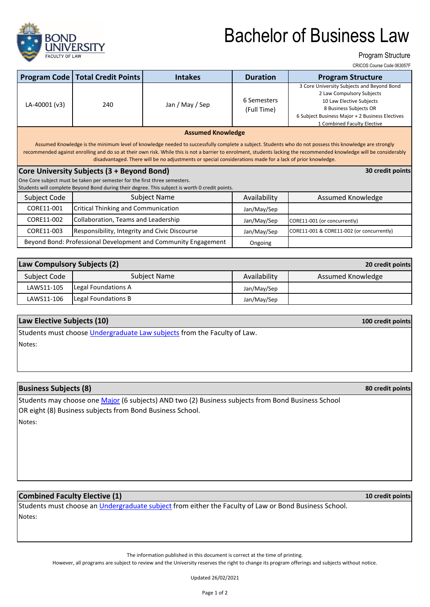

# Bachelor of Business Law

Program Structure

CRICOS Course Code 063057F

|                                                                                                                                                                                                                                                                                                                                                                                                                                                                         | <b>Program Code   Total Credit Points</b>     | <b>Intakes</b>  | <b>Duration</b>            | <b>Program Structure</b>                                                                                                                                                                                        |  |  |  |
|-------------------------------------------------------------------------------------------------------------------------------------------------------------------------------------------------------------------------------------------------------------------------------------------------------------------------------------------------------------------------------------------------------------------------------------------------------------------------|-----------------------------------------------|-----------------|----------------------------|-----------------------------------------------------------------------------------------------------------------------------------------------------------------------------------------------------------------|--|--|--|
| LA-40001 (v3)                                                                                                                                                                                                                                                                                                                                                                                                                                                           | 240                                           | Jan / May / Sep | 6 Semesters<br>(Full Time) | 3 Core University Subjects and Beyond Bond<br>2 Law Compulsory Subjects<br>10 Law Elective Subjects<br>8 Business Subjects OR<br>6 Subject Business Major + 2 Business Electives<br>1 Combined Faculty Elective |  |  |  |
| <b>Assumed Knowledge</b><br>Assumed Knowledge is the minimum level of knowledge needed to successfully complete a subject. Students who do not possess this knowledge are strongly<br>recommended against enrolling and do so at their own risk. While this is not a barrier to enrolment, students lacking the recommended knowledge will be considerably<br>disadvantaged. There will be no adjustments or special considerations made for a lack of prior knowledge. |                                               |                 |                            |                                                                                                                                                                                                                 |  |  |  |
| Core University Subjects (3 + Beyond Bond)<br>30 credit points                                                                                                                                                                                                                                                                                                                                                                                                          |                                               |                 |                            |                                                                                                                                                                                                                 |  |  |  |
| One Core subject must be taken per semester for the first three semesters.<br>Students will complete Beyond Bond during their degree. This subject is worth 0 credit points.                                                                                                                                                                                                                                                                                            |                                               |                 |                            |                                                                                                                                                                                                                 |  |  |  |
| Subject Code                                                                                                                                                                                                                                                                                                                                                                                                                                                            | Subject Name                                  |                 | Availability               | Assumed Knowledge                                                                                                                                                                                               |  |  |  |
| CORE11-001                                                                                                                                                                                                                                                                                                                                                                                                                                                              | Critical Thinking and Communication           |                 | Jan/May/Sep                |                                                                                                                                                                                                                 |  |  |  |
| CORE11-002                                                                                                                                                                                                                                                                                                                                                                                                                                                              | Collaboration, Teams and Leadership           |                 | Jan/May/Sep                | CORE11-001 (or concurrently)                                                                                                                                                                                    |  |  |  |
| CORE11-003                                                                                                                                                                                                                                                                                                                                                                                                                                                              | Responsibility, Integrity and Civic Discourse |                 | Jan/May/Sep                | CORE11-001 & CORE11-002 (or concurrently)                                                                                                                                                                       |  |  |  |

| Law Compulsory Subjects (2)<br>20 credit points |                     |              |                   |  |  |  |
|-------------------------------------------------|---------------------|--------------|-------------------|--|--|--|
| Subject Code                                    | Subject Name        | Availability | Assumed Knowledge |  |  |  |
| LAWS11-105                                      | Legal Foundations A | Jan/May/Sep  |                   |  |  |  |
| LAWS11-106                                      | Legal Foundations B | Jan/May/Sep  |                   |  |  |  |

Ongoing

### **Law Elective Subjects (10)**

Notes: Students must choose *Undergraduate Law subjects* from the Faculty of Law.

Beyond Bond: Professional Development and Community Engagement

#### **Business Subjects (8)**

Notes: Students may choose one Major (6 subjects) AND two (2) Business subjects from Bond Business School OR eight (8) Business subjects from Bond Business School.

#### **Combined Faculty Elective (1)**

Notes: Students must choose an *Undergraduate subject* from either the Faculty of Law or Bond Business School.

The information published in this document is correct at the time of printing.

However, all programs are subject to review and the University reserves the right to change its program offerings and subjects without notice.

Updated 26/02/2021

**100 credit points**

**80 credit points**

**10 credit points**